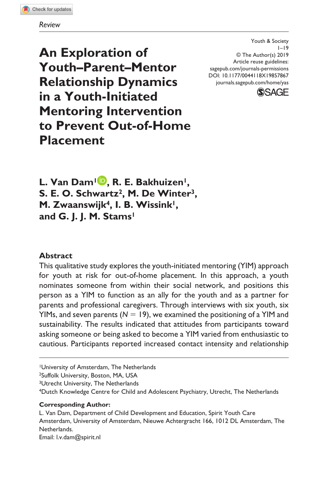**An Exploration of Youth–Parent–Mentor Relationship Dynamics in a Youth-Initiated Mentoring Intervention to Prevent Out-of-Home Placement**

DOI: 10.1177/0044118X19857867 Youth & Society  $1 - 19$ © The Author(s) 2019 Article reuse guidelines: [sagepub.com/journals-permissions](https://us.sagepub.com/en-us/journals-permissions) [journals.sagepub.com/home/yas](https://journals.sagepub.com/home/yas)



L. Van Dam<sup>1</sup><sup>1</sup>, R. E. Bakhuizen<sup>1</sup>, **S. E. O. Schwartz2, M. De Winter3,**  M. Zwaanswijk<sup>4</sup>, I. B. Wissink<sup>1</sup>, and G. J. J. M. Stams<sup>1</sup>

### **Abstract**

This qualitative study explores the youth-initiated mentoring (YIM) approach for youth at risk for out-of-home placement. In this approach, a youth nominates someone from within their social network, and positions this person as a YIM to function as an ally for the youth and as a partner for parents and professional caregivers. Through interviews with six youth, six YIMs, and seven parents ( $N = 19$ ), we examined the positioning of a YIM and sustainability. The results indicated that attitudes from participants toward asking someone or being asked to become a YIM varied from enthusiastic to cautious. Participants reported increased contact intensity and relationship

2Suffolk University, Boston, MA, USA

<sup>3</sup>Utrecht University, The Netherlands

4Dutch Knowledge Centre for Child and Adolescent Psychiatry, Utrecht, The Netherlands

#### **Corresponding Author:**

L. Van Dam, Department of Child Development and Education, Spirit Youth Care Amsterdam, University of Amsterdam, Nieuwe Achtergracht 166, 1012 DL Amsterdam, The Netherlands.

Email: [l.v.dam@spirit.nl](mailto:l.v.dam@spirit.nl)

<sup>1</sup>University of Amsterdam, The Netherlands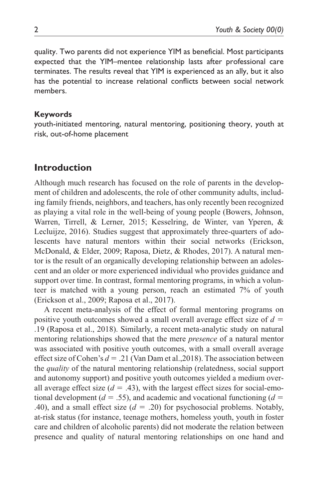quality. Two parents did not experience YIM as beneficial. Most participants expected that the YIM–mentee relationship lasts after professional care terminates. The results reveal that YIM is experienced as an ally, but it also has the potential to increase relational conflicts between social network members.

#### **Keywords**

youth-initiated mentoring, natural mentoring, positioning theory, youth at risk, out-of-home placement

## **Introduction**

Although much research has focused on the role of parents in the development of children and adolescents, the role of other community adults, including family friends, neighbors, and teachers, has only recently been recognized as playing a vital role in the well-being of young people (Bowers, Johnson, Warren, Tirrell, & Lerner, 2015; Kesselring, de Winter, van Yperen, & Lecluijze, 2016). Studies suggest that approximately three-quarters of adolescents have natural mentors within their social networks (Erickson, McDonald, & Elder, 2009; Raposa, Dietz, & Rhodes, 2017). A natural mentor is the result of an organically developing relationship between an adolescent and an older or more experienced individual who provides guidance and support over time. In contrast, formal mentoring programs, in which a volunteer is matched with a young person, reach an estimated 7% of youth (Erickson et al., 2009; Raposa et al., 2017).

A recent meta-analysis of the effect of formal mentoring programs on positive youth outcomes showed a small overall average effect size of *d* = .19 (Raposa et al., 2018). Similarly, a recent meta-analytic study on natural mentoring relationships showed that the mere *presence* of a natural mentor was associated with positive youth outcomes, with a small overall average effect size of Cohen's *d* = .21 (Van Dam et al.,2018). The association between the *quality* of the natural mentoring relationship (relatedness, social support and autonomy support) and positive youth outcomes yielded a medium overall average effect size  $(d = .43)$ , with the largest effect sizes for social-emotional development ( $d = .55$ ), and academic and vocational functioning ( $d =$ .40), and a small effect size  $(d = .20)$  for psychosocial problems. Notably, at-risk status (for instance, teenage mothers, homeless youth, youth in foster care and children of alcoholic parents) did not moderate the relation between presence and quality of natural mentoring relationships on one hand and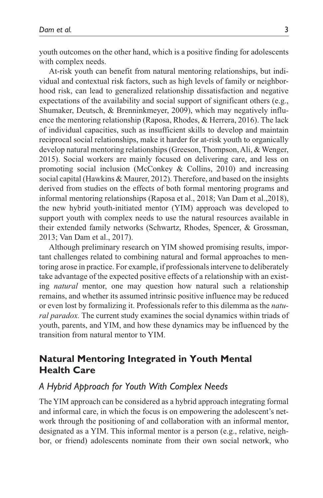youth outcomes on the other hand, which is a positive finding for adolescents with complex needs.

At-risk youth can benefit from natural mentoring relationships, but individual and contextual risk factors, such as high levels of family or neighborhood risk, can lead to generalized relationship dissatisfaction and negative expectations of the availability and social support of significant others (e.g., Shumaker, Deutsch, & Brenninkmeyer, 2009), which may negatively influence the mentoring relationship (Raposa, Rhodes, & Herrera, 2016). The lack of individual capacities, such as insufficient skills to develop and maintain reciprocal social relationships, make it harder for at-risk youth to organically develop natural mentoring relationships (Greeson, Thompson, Ali, & Wenger, 2015). Social workers are mainly focused on delivering care, and less on promoting social inclusion (McConkey & Collins, 2010) and increasing social capital (Hawkins & Maurer, 2012). Therefore, and based on the insights derived from studies on the effects of both formal mentoring programs and informal mentoring relationships (Raposa et al., 2018; Van Dam et al.,2018), the new hybrid youth-initiated mentor (YIM) approach was developed to support youth with complex needs to use the natural resources available in their extended family networks (Schwartz, Rhodes, Spencer, & Grossman, 2013; Van Dam et al., 2017).

Although preliminary research on YIM showed promising results, important challenges related to combining natural and formal approaches to mentoring arose in practice. For example, if professionals intervene to deliberately take advantage of the expected positive effects of a relationship with an existing *natural* mentor, one may question how natural such a relationship remains, and whether its assumed intrinsic positive influence may be reduced or even lost by formalizing it. Professionals refer to this dilemma as the *natural paradox.* The current study examines the social dynamics within triads of youth, parents, and YIM, and how these dynamics may be influenced by the transition from natural mentor to YIM.

## **Natural Mentoring Integrated in Youth Mental Health Care**

### *A Hybrid Approach for Youth With Complex Needs*

The YIM approach can be considered as a hybrid approach integrating formal and informal care, in which the focus is on empowering the adolescent's network through the positioning of and collaboration with an informal mentor, designated as a YIM. This informal mentor is a person (e.g., relative, neighbor, or friend) adolescents nominate from their own social network, who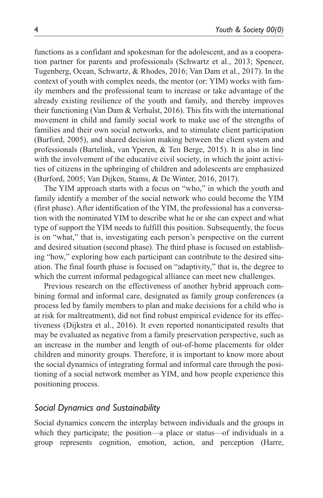functions as a confidant and spokesman for the adolescent, and as a cooperation partner for parents and professionals (Schwartz et al., 2013; Spencer, Tugenberg, Ocean, Schwartz, & Rhodes, 2016; Van Dam et al., 2017). In the context of youth with complex needs, the mentor (or: YIM) works with family members and the professional team to increase or take advantage of the already existing resilience of the youth and family, and thereby improves their functioning (Van Dam & Verhulst, 2016). This fits with the international movement in child and family social work to make use of the strengths of families and their own social networks, and to stimulate client participation (Burford, 2005), and shared decision making between the client system and professionals (Bartelink, van Yperen, & Ten Berge, 2015). It is also in line with the involvement of the educative civil society, in which the joint activities of citizens in the upbringing of children and adolescents are emphasized (Burford, 2005; Van Dijken, Stams, & De Winter, 2016, 2017).

The YIM approach starts with a focus on "who," in which the youth and family identify a member of the social network who could become the YIM (first phase). After identification of the YIM, the professional has a conversation with the nominated YIM to describe what he or she can expect and what type of support the YIM needs to fulfill this position. Subsequently, the focus is on "what," that is, investigating each person's perspective on the current and desired situation (second phase). The third phase is focused on establishing "how," exploring how each participant can contribute to the desired situation. The final fourth phase is focused on "adaptivity," that is, the degree to which the current informal pedagogical alliance can meet new challenges.

Previous research on the effectiveness of another hybrid approach combining formal and informal care, designated as family group conferences (a process led by family members to plan and make decisions for a child who is at risk for maltreatment), did not find robust empirical evidence for its effectiveness (Dijkstra et al., 2016). It even reported nonanticipated results that may be evaluated as negative from a family preservation perspective, such as an increase in the number and length of out-of-home placements for older children and minority groups. Therefore, it is important to know more about the social dynamics of integrating formal and informal care through the positioning of a social network member as YIM, and how people experience this positioning process.

### *Social Dynamics and Sustainability*

Social dynamics concern the interplay between individuals and the groups in which they participate; the position—a place or status—of individuals in a group represents cognition, emotion, action, and perception (Harre,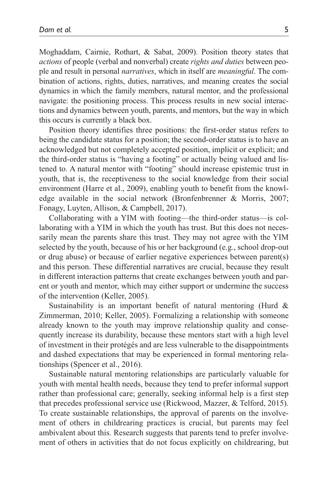Moghaddam, Cairnie, Rothart, & Sabat, 2009). Position theory states that *actions* of people (verbal and nonverbal) create *rights and duties* between people and result in personal *narratives*, which in itself are *meaningful*. The combination of actions, rights, duties, narratives, and meaning creates the social dynamics in which the family members, natural mentor, and the professional navigate: the positioning process. This process results in new social interactions and dynamics between youth, parents, and mentors, but the way in which this occurs is currently a black box.

Position theory identifies three positions: the first-order status refers to being the candidate status for a position; the second-order status is to have an acknowledged but not completely accepted position, implicit or explicit; and the third-order status is "having a footing" or actually being valued and listened to. A natural mentor with "footing" should increase epistemic trust in youth, that is, the receptiveness to the social knowledge from their social environment (Harre et al., 2009), enabling youth to benefit from the knowledge available in the social network (Bronfenbrenner & Morris, 2007; Fonagy, Luyten, Allison, & Campbell, 2017).

Collaborating with a YIM with footing—the third-order status—is collaborating with a YIM in which the youth has trust. But this does not necessarily mean the parents share this trust. They may not agree with the YIM selected by the youth, because of his or her background (e.g., school drop-out or drug abuse) or because of earlier negative experiences between parent(s) and this person. These differential narratives are crucial, because they result in different interaction patterns that create exchanges between youth and parent or youth and mentor, which may either support or undermine the success of the intervention (Keller, 2005).

Sustainability is an important benefit of natural mentoring (Hurd & Zimmerman, 2010; Keller, 2005). Formalizing a relationship with someone already known to the youth may improve relationship quality and consequently increase its durability, because these mentors start with a high level of investment in their protégés and are less vulnerable to the disappointments and dashed expectations that may be experienced in formal mentoring relationships (Spencer et al., 2016).

Sustainable natural mentoring relationships are particularly valuable for youth with mental health needs, because they tend to prefer informal support rather than professional care; generally, seeking informal help is a first step that precedes professional service use (Rickwood, Mazzer, & Telford, 2015). To create sustainable relationships, the approval of parents on the involvement of others in childrearing practices is crucial, but parents may feel ambivalent about this. Research suggests that parents tend to prefer involvement of others in activities that do not focus explicitly on childrearing, but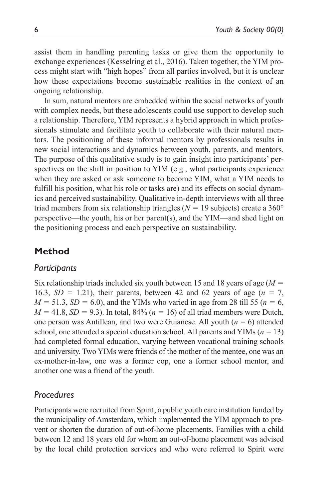assist them in handling parenting tasks or give them the opportunity to exchange experiences (Kesselring et al., 2016). Taken together, the YIM process might start with "high hopes" from all parties involved, but it is unclear how these expectations become sustainable realities in the context of an ongoing relationship.

In sum, natural mentors are embedded within the social networks of youth with complex needs, but these adolescents could use support to develop such a relationship. Therefore, YIM represents a hybrid approach in which professionals stimulate and facilitate youth to collaborate with their natural mentors. The positioning of these informal mentors by professionals results in new social interactions and dynamics between youth, parents, and mentors. The purpose of this qualitative study is to gain insight into participants' perspectives on the shift in position to YIM (e.g., what participants experience when they are asked or ask someone to become YIM, what a YIM needs to fulfill his position, what his role or tasks are) and its effects on social dynamics and perceived sustainability. Qualitative in-depth interviews with all three triad members from six relationship triangles ( $N = 19$  subjects) create a 360<sup>°</sup> perspective—the youth, his or her parent(s), and the YIM—and shed light on the positioning process and each perspective on sustainability.

## **Method**

### *Participants*

Six relationship triads included six youth between 15 and 18 years of age  $(M =$ 16.3, *SD =* 1.21), their parents, between 42 and 62 years of age (*n =* 7,  $M = 51.3$ ,  $SD = 6.0$ ), and the YIMs who varied in age from 28 till 55 ( $n = 6$ ,  $M = 41.8$ ,  $SD = 9.3$ ). In total,  $84\%$  ( $n = 16$ ) of all triad members were Dutch, one person was Antillean, and two were Guianese. All youth (*n =* 6) attended school, one attended a special education school. All parents and YIMs (*n =* 13) had completed formal education, varying between vocational training schools and university. Two YIMs were friends of the mother of the mentee, one was an ex-mother-in-law, one was a former cop, one a former school mentor, and another one was a friend of the youth.

## *Procedures*

Participants were recruited from Spirit, a public youth care institution funded by the municipality of Amsterdam, which implemented the YIM approach to prevent or shorten the duration of out-of-home placements. Families with a child between 12 and 18 years old for whom an out-of-home placement was advised by the local child protection services and who were referred to Spirit were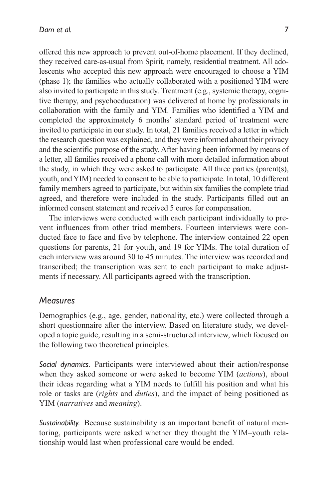offered this new approach to prevent out-of-home placement. If they declined, they received care-as-usual from Spirit, namely, residential treatment. All adolescents who accepted this new approach were encouraged to choose a YIM (phase 1); the families who actually collaborated with a positioned YIM were also invited to participate in this study. Treatment (e.g., systemic therapy, cognitive therapy, and psychoeducation) was delivered at home by professionals in collaboration with the family and YIM. Families who identified a YIM and completed the approximately 6 months' standard period of treatment were invited to participate in our study. In total, 21 families received a letter in which the research question was explained, and they were informed about their privacy and the scientific purpose of the study. After having been informed by means of a letter, all families received a phone call with more detailed information about the study, in which they were asked to participate. All three parties (parent(s), youth, and YIM) needed to consent to be able to participate. In total, 10 different family members agreed to participate, but within six families the complete triad agreed, and therefore were included in the study. Participants filled out an informed consent statement and received 5 euros for compensation.

The interviews were conducted with each participant individually to prevent influences from other triad members. Fourteen interviews were conducted face to face and five by telephone. The interview contained 22 open questions for parents, 21 for youth, and 19 for YIMs. The total duration of each interview was around 30 to 45 minutes. The interview was recorded and transcribed; the transcription was sent to each participant to make adjustments if necessary. All participants agreed with the transcription.

#### *Measures*

Demographics (e.g., age, gender, nationality, etc.) were collected through a short questionnaire after the interview. Based on literature study, we developed a topic guide, resulting in a semi-structured interview, which focused on the following two theoretical principles.

*Social dynamics.* Participants were interviewed about their action/response when they asked someone or were asked to become YIM (*actions*), about their ideas regarding what a YIM needs to fulfill his position and what his role or tasks are (*rights* and *duties*), and the impact of being positioned as YIM (*narratives* and *meaning*).

*Sustainability.* Because sustainability is an important benefit of natural mentoring, participants were asked whether they thought the YIM–youth relationship would last when professional care would be ended.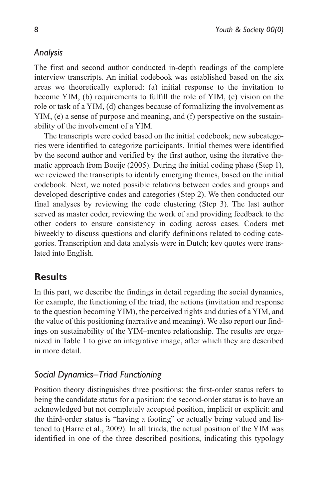## *Analysis*

The first and second author conducted in-depth readings of the complete interview transcripts. An initial codebook was established based on the six areas we theoretically explored: (a) initial response to the invitation to become YIM, (b) requirements to fulfill the role of YIM, (c) vision on the role or task of a YIM, (d) changes because of formalizing the involvement as YIM, (e) a sense of purpose and meaning, and (f) perspective on the sustainability of the involvement of a YIM.

The transcripts were coded based on the initial codebook; new subcategories were identified to categorize participants. Initial themes were identified by the second author and verified by the first author, using the iterative thematic approach from Boeije (2005). During the initial coding phase (Step 1), we reviewed the transcripts to identify emerging themes, based on the initial codebook. Next, we noted possible relations between codes and groups and developed descriptive codes and categories (Step 2). We then conducted our final analyses by reviewing the code clustering (Step 3). The last author served as master coder, reviewing the work of and providing feedback to the other coders to ensure consistency in coding across cases. Coders met biweekly to discuss questions and clarify definitions related to coding categories. Transcription and data analysis were in Dutch; key quotes were translated into English.

# **Results**

In this part, we describe the findings in detail regarding the social dynamics, for example, the functioning of the triad, the actions (invitation and response to the question becoming YIM), the perceived rights and duties of a YIM, and the value of this positioning (narrative and meaning). We also report our findings on sustainability of the YIM–mentee relationship. The results are organized in Table 1 to give an integrative image, after which they are described in more detail.

## *Social Dynamics–Triad Functioning*

Position theory distinguishes three positions: the first-order status refers to being the candidate status for a position; the second-order status is to have an acknowledged but not completely accepted position, implicit or explicit; and the third-order status is "having a footing" or actually being valued and listened to (Harre et al., 2009). In all triads, the actual position of the YIM was identified in one of the three described positions, indicating this typology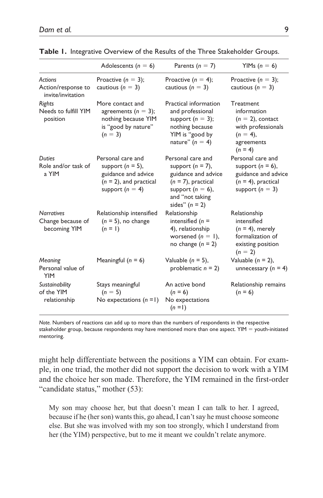|                                                           | Adolescents ( $n = 6$ )                                                                                           | Parents $(n = 7)$                                                                                                                                      | YIMs $(n = 6)$                                                                                                  |
|-----------------------------------------------------------|-------------------------------------------------------------------------------------------------------------------|--------------------------------------------------------------------------------------------------------------------------------------------------------|-----------------------------------------------------------------------------------------------------------------|
| <b>Actions</b><br>Action/response to<br>invite/invitation | Proactive $(n = 3)$ ;<br>cautious ( $n = 3$ )                                                                     | Proactive $(n = 4)$ ;<br>cautious ( $n = 3$ )                                                                                                          | Proactive $(n = 3)$ ;<br>cautious ( $n = 3$ )                                                                   |
| Rights<br>Needs to fulfill YIM<br>position                | More contact and<br>agreements ( $n = 3$ );<br>nothing because YIM<br>is "good by nature"<br>$(n = 3)$            | Practical information<br>and professional<br>support $(n = 3)$ ;<br>nothing because<br>YIM is "good by<br>nature" $(n = 4)$                            | Treatment<br>information<br>$(n = 2)$ , contact<br>with professionals<br>$(n = 4)$ ,<br>agreements<br>$(n = 4)$ |
| <b>Duties</b><br>Role and/or task of<br>a YIM             | Personal care and<br>support $(n = 5)$ ,<br>guidance and advice<br>$(n = 2)$ , and practical<br>support $(n = 4)$ | Personal care and<br>support $(n = 7)$ ,<br>guidance and advice<br>$(n = 7)$ , practical<br>support $(n = 6)$ ,<br>and "not taking<br>sides" $(n = 2)$ | Personal care and<br>support $(n = 6)$ ,<br>guidance and advice<br>$(n = 4)$ , practical<br>support $(n = 3)$   |
| <b>Narratives</b><br>Change because of<br>becoming YIM    | Relationship intensified<br>$(n = 5)$ , no change<br>$(n = 1)$                                                    | Relationship<br>intensified $(n =$<br>4), relationship<br>worsened $(n = 1)$ ,<br>no change $(n = 2)$                                                  | Relationship<br>intensified<br>$(n = 4)$ , merely<br>formalization of<br>existing position<br>$(n = 2)$         |
| Meaning<br>Personal value of<br><b>YIM</b>                | Meaningful $(n = 6)$                                                                                              | Valuable $(n = 5)$ ,<br>problematic $n = 2$ )                                                                                                          | Valuable $(n = 2)$ ,<br>unnecessary $(n = 4)$                                                                   |
| Sustainability<br>of the YIM<br>relationship              | Stays meaningful<br>$(n = 5)$<br>No expectations $(n = 1)$                                                        | An active bond<br>$(n = 6)$<br>No expectations<br>$(n=1)$                                                                                              | Relationship remains<br>$(n = 6)$                                                                               |

**Table 1.** Integrative Overview of the Results of the Three Stakeholder Groups.

*Note.* Numbers of reactions can add up to more than the numbers of respondents in the respective stakeholder group, because respondents may have mentioned more than one aspect. YIM = youth-initiated mentoring.

might help differentiate between the positions a YIM can obtain. For example, in one triad, the mother did not support the decision to work with a YIM and the choice her son made. Therefore, the YIM remained in the first-order "candidate status," mother (53):

My son may choose her, but that doesn't mean I can talk to her. I agreed, because if he (her son) wants this, go ahead, I can't say he must choose someone else. But she was involved with my son too strongly, which I understand from her (the YIM) perspective, but to me it meant we couldn't relate anymore.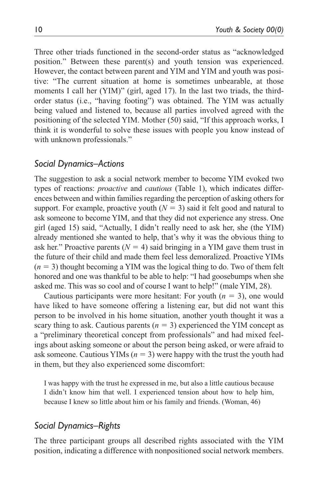Three other triads functioned in the second-order status as "acknowledged position." Between these parent(s) and youth tension was experienced. However, the contact between parent and YIM and YIM and youth was positive: "The current situation at home is sometimes unbearable, at those moments I call her (YIM)" (girl, aged 17). In the last two triads, the thirdorder status (i.e., "having footing") was obtained. The YIM was actually being valued and listened to, because all parties involved agreed with the positioning of the selected YIM. Mother (50) said, "If this approach works, I think it is wonderful to solve these issues with people you know instead of with unknown professionals."

### *Social Dynamics–Actions*

The suggestion to ask a social network member to become YIM evoked two types of reactions: *proactive* and *cautious* (Table 1), which indicates differences between and within families regarding the perception of asking others for support. For example, proactive youth  $(N = 3)$  said it felt good and natural to ask someone to become YIM, and that they did not experience any stress. One girl (aged 15) said, "Actually, I didn't really need to ask her, she (the YIM) already mentioned she wanted to help, that's why it was the obvious thing to ask her." Proactive parents ( $N = 4$ ) said bringing in a YIM gave them trust in the future of their child and made them feel less demoralized. Proactive YIMs (*n* = 3) thought becoming a YIM was the logical thing to do. Two of them felt honored and one was thankful to be able to help: "I had goosebumps when she asked me. This was so cool and of course I want to help!" (male YIM, 28).

Cautious participants were more hesitant: For youth  $(n = 3)$ , one would have liked to have someone offering a listening ear, but did not want this person to be involved in his home situation, another youth thought it was a scary thing to ask. Cautious parents  $(n = 3)$  experienced the YIM concept as a "preliminary theoretical concept from professionals" and had mixed feelings about asking someone or about the person being asked, or were afraid to ask someone. Cautious YIMs  $(n = 3)$  were happy with the trust the youth had in them, but they also experienced some discomfort:

I was happy with the trust he expressed in me, but also a little cautious because I didn't know him that well. I experienced tension about how to help him, because I knew so little about him or his family and friends. (Woman, 46)

### *Social Dynamics–Rights*

The three participant groups all described rights associated with the YIM position, indicating a difference with nonpositioned social network members.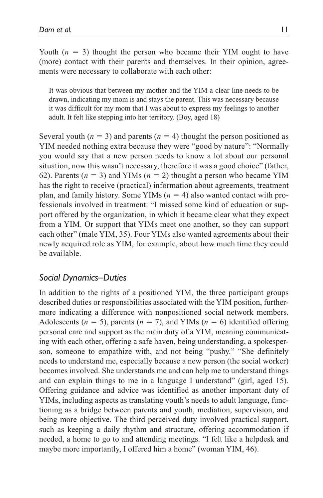Youth  $(n = 3)$  thought the person who became their YIM ought to have (more) contact with their parents and themselves. In their opinion, agreements were necessary to collaborate with each other:

It was obvious that between my mother and the YIM a clear line needs to be drawn, indicating my mom is and stays the parent. This was necessary because it was difficult for my mom that I was about to express my feelings to another adult. It felt like stepping into her territory. (Boy, aged 18)

Several youth  $(n = 3)$  and parents  $(n = 4)$  thought the person positioned as YIM needed nothing extra because they were "good by nature": "Normally you would say that a new person needs to know a lot about our personal situation, now this wasn't necessary, therefore it was a good choice" (father, 62). Parents  $(n = 3)$  and YIMs  $(n = 2)$  thought a person who became YIM has the right to receive (practical) information about agreements, treatment plan, and family history. Some YIMs (*n* = 4) also wanted contact with professionals involved in treatment: "I missed some kind of education or support offered by the organization, in which it became clear what they expect from a YIM. Or support that YIMs meet one another, so they can support each other" (male YIM, 35). Four YIMs also wanted agreements about their newly acquired role as YIM, for example, about how much time they could be available.

## *Social Dynamics–Duties*

In addition to the rights of a positioned YIM, the three participant groups described duties or responsibilities associated with the YIM position, furthermore indicating a difference with nonpositioned social network members. Adolescents ( $n = 5$ ), parents ( $n = 7$ ), and YIMs ( $n = 6$ ) identified offering personal care and support as the main duty of a YIM, meaning communicating with each other, offering a safe haven, being understanding, a spokesperson, someone to empathize with, and not being "pushy." "She definitely needs to understand me, especially because a new person (the social worker) becomes involved. She understands me and can help me to understand things and can explain things to me in a language I understand" (girl, aged 15). Offering guidance and advice was identified as another important duty of YIMs, including aspects as translating youth's needs to adult language, functioning as a bridge between parents and youth, mediation, supervision, and being more objective. The third perceived duty involved practical support, such as keeping a daily rhythm and structure, offering accommodation if needed, a home to go to and attending meetings. "I felt like a helpdesk and maybe more importantly, I offered him a home" (woman YIM, 46).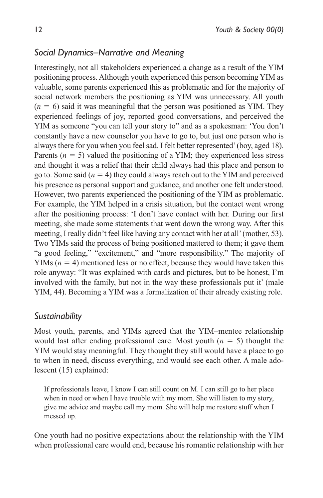## *Social Dynamics–Narrative and Meaning*

Interestingly, not all stakeholders experienced a change as a result of the YIM positioning process. Although youth experienced this person becoming YIM as valuable, some parents experienced this as problematic and for the majority of social network members the positioning as YIM was unnecessary. All youth  $(n = 6)$  said it was meaningful that the person was positioned as YIM. They experienced feelings of joy, reported good conversations, and perceived the YIM as someone "you can tell your story to" and as a spokesman: 'You don't constantly have a new counselor you have to go to, but just one person who is always there for you when you feel sad. I felt better represented' (boy, aged 18). Parents ( $n = 5$ ) valued the positioning of a YIM; they experienced less stress and thought it was a relief that their child always had this place and person to go to. Some said  $(n = 4)$  they could always reach out to the YIM and perceived his presence as personal support and guidance, and another one felt understood. However, two parents experienced the positioning of the YIM as problematic. For example, the YIM helped in a crisis situation, but the contact went wrong after the positioning process: 'I don't have contact with her. During our first meeting, she made some statements that went down the wrong way. After this meeting, I really didn't feel like having any contact with her at all' (mother, 53). Two YIMs said the process of being positioned mattered to them; it gave them "a good feeling," "excitement," and "more responsibility." The majority of YIMs  $(n = 4)$  mentioned less or no effect, because they would have taken this role anyway: "It was explained with cards and pictures, but to be honest, I'm involved with the family, but not in the way these professionals put it' (male YIM, 44). Becoming a YIM was a formalization of their already existing role.

### *Sustainability*

Most youth, parents, and YIMs agreed that the YIM–mentee relationship would last after ending professional care. Most youth (*n* = 5) thought the YIM would stay meaningful. They thought they still would have a place to go to when in need, discuss everything, and would see each other. A male adolescent (15) explained:

If professionals leave, I know I can still count on M. I can still go to her place when in need or when I have trouble with my mom. She will listen to my story, give me advice and maybe call my mom. She will help me restore stuff when I messed up.

One youth had no positive expectations about the relationship with the YIM when professional care would end, because his romantic relationship with her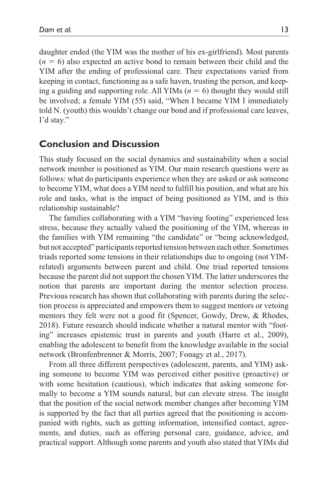daughter ended (the YIM was the mother of his ex-girlfriend). Most parents (*n* = 6) also expected an active bond to remain between their child and the YIM after the ending of professional care. Their expectations varied from keeping in contact, functioning as a safe haven, trusting the person, and keeping a guiding and supporting role. All YIMs  $(n = 6)$  thought they would still be involved; a female YIM (55) said, "When I became YIM I immediately told N. (youth) this wouldn't change our bond and if professional care leaves, I'd stay."

### **Conclusion and Discussion**

This study focused on the social dynamics and sustainability when a social network member is positioned as YIM. Our main research questions were as follows: what do participants experience when they are asked or ask someone to become YIM, what does a YIM need to fulfill his position, and what are his role and tasks, what is the impact of being positioned as YIM, and is this relationship sustainable?

The families collaborating with a YIM "having footing" experienced less stress, because they actually valued the positioning of the YIM, whereas in the families with YIM remaining "the candidate" or "being acknowledged, but not accepted" participants reported tension between each other. Sometimes triads reported some tensions in their relationships due to ongoing (not YIMrelated) arguments between parent and child. One triad reported tensions because the parent did not support the chosen YIM. The latter underscores the notion that parents are important during the mentor selection process. Previous research has shown that collaborating with parents during the selection process is appreciated and empowers them to suggest mentors or vetoing mentors they felt were not a good fit (Spencer, Gowdy, Drew, & Rhodes, 2018). Future research should indicate whether a natural mentor with "footing" increases epistemic trust in parents and youth (Harre et al., 2009), enabling the adolescent to benefit from the knowledge available in the social network (Bronfenbrenner & Morris, 2007; Fonagy et al., 2017).

From all three different perspectives (adolescent, parents, and YIM) asking someone to become YIM was perceived either positive (proactive) or with some hesitation (cautious), which indicates that asking someone formally to become a YIM sounds natural, but can elevate stress. The insight that the position of the social network member changes after becoming YIM is supported by the fact that all parties agreed that the positioning is accompanied with rights, such as getting information, intensified contact, agreements, and duties, such as offering personal care, guidance, advice, and practical support. Although some parents and youth also stated that YIMs did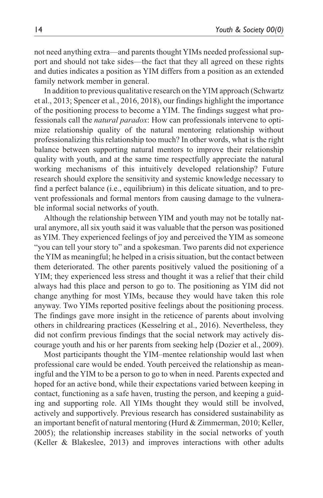not need anything extra—and parents thought YIMs needed professional support and should not take sides—the fact that they all agreed on these rights and duties indicates a position as YIM differs from a position as an extended family network member in general.

In addition to previous qualitative research on the YIM approach (Schwartz et al., 2013; Spencer et al., 2016, 2018), our findings highlight the importance of the positioning process to become a YIM. The findings suggest what professionals call the *natural paradox*: How can professionals intervene to optimize relationship quality of the natural mentoring relationship without professionalizing this relationship too much? In other words, what is the right balance between supporting natural mentors to improve their relationship quality with youth, and at the same time respectfully appreciate the natural working mechanisms of this intuitively developed relationship? Future research should explore the sensitivity and systemic knowledge necessary to find a perfect balance (i.e., equilibrium) in this delicate situation, and to prevent professionals and formal mentors from causing damage to the vulnerable informal social networks of youth.

Although the relationship between YIM and youth may not be totally natural anymore, all six youth said it was valuable that the person was positioned as YIM. They experienced feelings of joy and perceived the YIM as someone "you can tell your story to" and a spokesman. Two parents did not experience the YIM as meaningful; he helped in a crisis situation, but the contact between them deteriorated. The other parents positively valued the positioning of a YIM; they experienced less stress and thought it was a relief that their child always had this place and person to go to. The positioning as YIM did not change anything for most YIMs, because they would have taken this role anyway. Two YIMs reported positive feelings about the positioning process. The findings gave more insight in the reticence of parents about involving others in childrearing practices (Kesselring et al., 2016). Nevertheless, they did not confirm previous findings that the social network may actively discourage youth and his or her parents from seeking help (Dozier et al., 2009).

Most participants thought the YIM–mentee relationship would last when professional care would be ended. Youth perceived the relationship as meaningful and the YIM to be a person to go to when in need. Parents expected and hoped for an active bond, while their expectations varied between keeping in contact, functioning as a safe haven, trusting the person, and keeping a guiding and supporting role. All YIMs thought they would still be involved, actively and supportively. Previous research has considered sustainability as an important benefit of natural mentoring (Hurd & Zimmerman, 2010; Keller, 2005); the relationship increases stability in the social networks of youth (Keller & Blakeslee, 2013) and improves interactions with other adults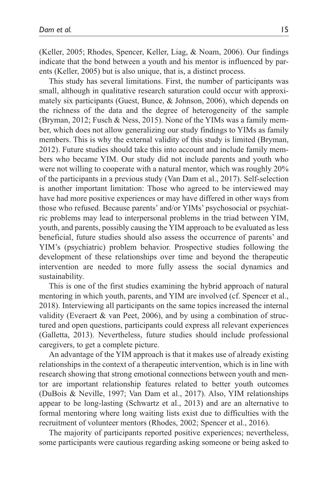(Keller, 2005; Rhodes, Spencer, Keller, Liag, & Noam, 2006). Our findings indicate that the bond between a youth and his mentor is influenced by parents (Keller, 2005) but is also unique, that is, a distinct process.

This study has several limitations. First, the number of participants was small, although in qualitative research saturation could occur with approximately six participants (Guest, Bunce, & Johnson, 2006), which depends on the richness of the data and the degree of heterogeneity of the sample (Bryman, 2012; Fusch & Ness, 2015). None of the YIMs was a family member, which does not allow generalizing our study findings to YIMs as family members. This is why the external validity of this study is limited (Bryman, 2012). Future studies should take this into account and include family members who became YIM. Our study did not include parents and youth who were not willing to cooperate with a natural mentor, which was roughly 20% of the participants in a previous study (Van Dam et al., 2017). Self-selection is another important limitation: Those who agreed to be interviewed may have had more positive experiences or may have differed in other ways from those who refused. Because parents' and/or YIMs' psychosocial or psychiatric problems may lead to interpersonal problems in the triad between YIM, youth, and parents, possibly causing the YIM approach to be evaluated as less beneficial, future studies should also assess the occurrence of parents' and YIM's (psychiatric) problem behavior. Prospective studies following the development of these relationships over time and beyond the therapeutic intervention are needed to more fully assess the social dynamics and sustainability.

This is one of the first studies examining the hybrid approach of natural mentoring in which youth, parents, and YIM are involved (cf. Spencer et al., 2018). Interviewing all participants on the same topics increased the internal validity (Everaert & van Peet, 2006), and by using a combination of structured and open questions, participants could express all relevant experiences (Galletta, 2013). Nevertheless, future studies should include professional caregivers, to get a complete picture.

An advantage of the YIM approach is that it makes use of already existing relationships in the context of a therapeutic intervention, which is in line with research showing that strong emotional connections between youth and mentor are important relationship features related to better youth outcomes (DuBois & Neville, 1997; Van Dam et al., 2017). Also, YIM relationships appear to be long-lasting (Schwartz et al., 2013) and are an alternative to formal mentoring where long waiting lists exist due to difficulties with the recruitment of volunteer mentors (Rhodes, 2002; Spencer et al., 2016).

The majority of participants reported positive experiences; nevertheless, some participants were cautious regarding asking someone or being asked to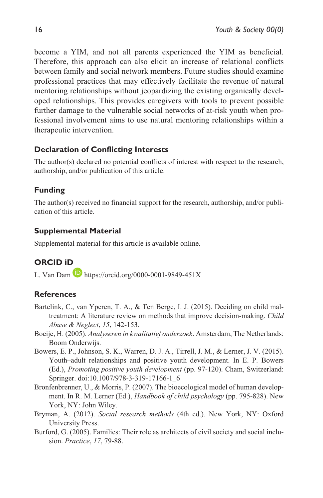become a YIM, and not all parents experienced the YIM as beneficial. Therefore, this approach can also elicit an increase of relational conflicts between family and social network members. Future studies should examine professional practices that may effectively facilitate the revenue of natural mentoring relationships without jeopardizing the existing organically developed relationships. This provides caregivers with tools to prevent possible further damage to the vulnerable social networks of at-risk youth when professional involvement aims to use natural mentoring relationships within a therapeutic intervention.

#### **Declaration of Conflicting Interests**

The author(s) declared no potential conflicts of interest with respect to the research, authorship, and/or publication of this article.

#### **Funding**

The author(s) received no financial support for the research, authorship, and/or publication of this article.

#### **Supplemental Material**

Supplemental material for this article is available online.

#### **ORCID iD**

L. Van Dam **D** <https://orcid.org/0000-0001-9849-451X>

#### **References**

- Bartelink, C., van Yperen, T. A., & Ten Berge, I. J. (2015). Deciding on child maltreatment: A literature review on methods that improve decision-making. *Child Abuse & Neglect*, *15*, 142-153.
- Boeije, H. (2005). *Analyseren in kwalitatief onderzoek*. Amsterdam, The Netherlands: Boom Onderwijs.
- Bowers, E. P., Johnson, S. K., Warren, D. J. A., Tirrell, J. M., & Lerner, J. V. (2015). Youth–adult relationships and positive youth development. In E. P. Bowers (Ed.), *Promoting positive youth development* (pp. 97-120). Cham, Switzerland: Springer. doi:10.1007/978-3-319-17166-1\_6
- Bronfenbrenner, U., & Morris, P. (2007). The bioecological model of human development. In R. M. Lerner (Ed.), *Handbook of child psychology* (pp. 795-828). New York, NY: John Wiley.
- Bryman, A. (2012). *Social research methods* (4th ed.). New York, NY: Oxford University Press.
- Burford, G. (2005). Families: Their role as architects of civil society and social inclusion. *Practice*, *17*, 79-88.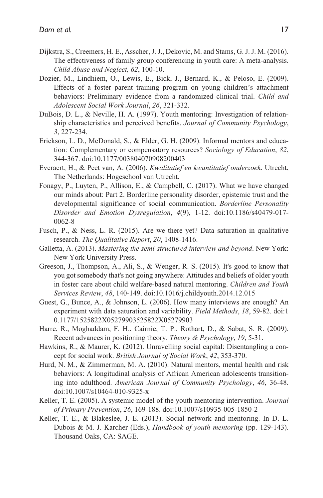- Dijkstra, S., Creemers, H. E., Asscher, J. J., Dekovic, M. and Stams, G. J. J. M. (2016). The effectiveness of family group conferencing in youth care: A meta-analysis. *Child Abuse and Neglect, 62*, 100-10.
- Dozier, M., Lindhiem, O., Lewis, E., Bick, J., Bernard, K., & Peloso, E. (2009). Effects of a foster parent training program on young children's attachment behaviors: Preliminary evidence from a randomized clinical trial. *Child and Adolescent Social Work Journal*, *26*, 321-332.
- DuBois, D. L., & Neville, H. A. (1997). Youth mentoring: Investigation of relationship characteristics and perceived benefits. *Journal of Community Psychology*, *3*, 227-234.
- Erickson, L. D., McDonald, S., & Elder, G. H. (2009). Informal mentors and education: Complementary or compensatory resources? *Sociology of Education*, *82*, 344-367. doi:10.1177/003804070908200403
- Everaert, H., & Peet van, A. (2006). *Kwalitatief en kwantitatief onderzoek*. Utrecht, The Netherlands: Hogeschool van Utrecht.
- Fonagy, P., Luyten, P., Allison, E., & Campbell, C. (2017). What we have changed our minds about: Part 2. Borderline personality disorder, epistemic trust and the developmental significance of social communication. *Borderline Personality Disorder and Emotion Dysregulation*, *4*(9), 1-12. doi:10.1186/s40479-017- 0062-8
- Fusch, P., & Ness, L. R. (2015). Are we there yet? Data saturation in qualitative research. *The Qualitative Report*, *20*, 1408-1416.
- Galletta, A. (2013). *Mastering the semi-structured interview and beyond*. New York: New York University Press.
- Greeson, J., Thompson, A., Ali, S., & Wenger, R. S. (2015). It's good to know that you got somebody that's not going anywhere: Attitudes and beliefs of older youth in foster care about child welfare-based natural mentoring. *Children and Youth Services Review*, *48*, 140-149. doi:10.1016/j.childyouth.2014.12.015
- Guest, G., Bunce, A., & Johnson, L. (2006). How many interviews are enough? An experiment with data saturation and variability. *Field Methods*, *18*, 59-82. doi:1 0.1177/1525822X05279903525822X05279903
- Harre, R., Moghaddam, F. H., Cairnie, T. P., Rothart, D., & Sabat, S. R. (2009). Recent advances in positioning theory. *Theory & Psychology*, *19*, 5-31.
- Hawkins, R., & Maurer, K. (2012). Unravelling social capital: Disentangling a concept for social work. *British Journal of Social Work*, *42*, 353-370.
- Hurd, N. M., & Zimmerman, M. A. (2010). Natural mentors, mental health and risk behaviors: A longitudinal analysis of African American adolescents transitioning into adulthood. *American Journal of Community Psychology*, *46*, 36-48. doi:10.1007/s10464-010-9325-x
- Keller, T. E. (2005). A systemic model of the youth mentoring intervention. *Journal of Primary Prevention*, *26*, 169-188. doi:10.1007/s10935-005-1850-2
- Keller, T. E., & Blakeslee, J. E. (2013). Social network and mentoring. In D. L. Dubois & M. J. Karcher (Eds.), *Handbook of youth mentoring* (pp. 129-143). Thousand Oaks, CA: SAGE.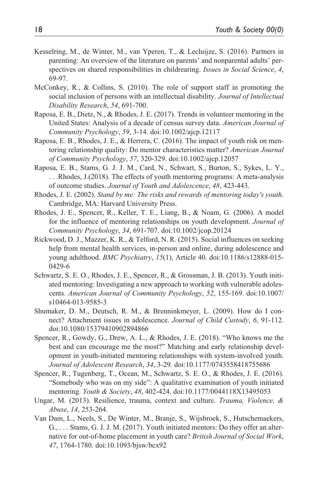- Kesselring, M., de Winter, M., van Yperen, T., & Lecluijze, S. (2016). Partners in parenting: An overview of the literature on parents' and nonparental adults' perspectives on shared responsibilities in childrearing. *Issues in Social Science*, *4*, 69-97.
- McConkey, R., & Collins, S. (2010). The role of support staff in promoting the social inclusion of persons with an intellectual disability. *Journal of Intellectual Disability Research*, *54*, 691-700.
- Raposa, E. B., Dietz, N., & Rhodes, J. E. (2017). Trends in volunteer mentoring in the United States: Analysis of a decade of census survey data. *American Journal of Community Psychology*, *59*, 3-14. doi:10.1002/ajcp.12117
- Raposa, E. B., Rhodes, J. E., & Herrera, C. (2016). The impact of youth risk on mentoring relationship quality: Do mentor characteristics matter? *American Journal of Community Psychology*, *57*, 320-329. doi:10.1002/ajcp.12057
- Raposa, E. B., Stams, G. J. J. M., Card, N., Schwart, S., Burton, S., Sykes, L. Y., . . .Rhodes, J.(2018). The effects of youth mentoring programs: A meta-analysis of outcome studies. *Journal of Youth and Adolescence*, *48*, 423-443.
- Rhodes, J. E. (2002). *Stand by me: The risks and rewards of mentoring today's youth*. Cambridge, MA: Harvard University Press.
- Rhodes, J. E., Spencer, R., Keller, T. E., Liang, B., & Noam, G. (2006). A model for the influence of mentoring relationships on youth development. *Journal of Community Psychology*, *34*, 691-707. doi:10.1002/jcop.20124
- Rickwood, D. J., Mazzer, K. R., & Telford, N. R. (2015). Social influences on seeking help from mental health services, in-person and online, during adolescence and young adulthood. *BMC Psychiatry*, *15*(1), Article 40. doi:10.1186/s12888-015- 0429-6
- Schwartz, S. E. O., Rhodes, J. E., Spencer, R., & Grossman, J. B. (2013). Youth initiated mentoring: Investigating a new approach to working with vulnerable adolescents. *American Journal of Community Psychology*, *52*, 155-169. doi:10.1007/ s10464-013-9585-3
- Shumaker, D. M., Deutsch, R. M., & Brenninkmeyer, L. (2009). How do I connect? Attachment issues in adolescence. *Journal of Child Custody*, *6*, 91-112. doi:10.1080/15379410902894866
- Spencer, R., Gowdy, G., Drew, A. L., & Rhodes, J. E. (2018). "Who knows me the best and can encourage me the most?" Matching and early relationship development in youth-initiated mentoring relationships with system-involved youth. *Journal of Adolescent Research*, *34*, 3-29. doi:10.1177/0743558418755686
- Spencer, R., Tugenberg, T., Ocean, M., Schwartz, S. E. O., & Rhodes, J. E. (2016). "Somebody who was on my side": A qualitative examination of youth initiated mentoring. *Youth & Society*, *48*, 402-424. doi:10.1177/0044118X13495053
- Ungar, M. (2013). Resilience, trauma, context and culture. *Trauma, Violence, & Abuse*, *14*, 253-264.
- Van Dam, L., Neels, S., De Winter, M., Branje, S., Wijsbroek, S., Hutschemaekers, G., . . . Stams, G. J. J. M. (2017). Youth initiated mentors: Do they offer an alternative for out-of-home placement in youth care? *British Journal of Social Work*, *47*, 1764-1780. doi:10.1093/bjsw/bcx92